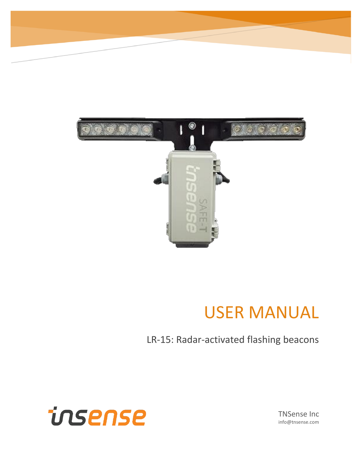

## USER MANUAL

### LR-15: Radar-activated flashing beacons



TNSense Inc info@tnsense.com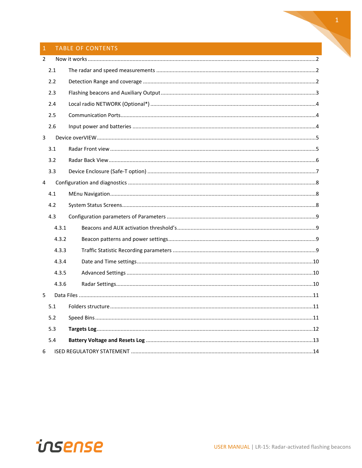### 1 TABLE OF CONTENTS

| $\overline{2}$ |       |  |
|----------------|-------|--|
|                | 2.1   |  |
|                | 2.2   |  |
|                | 2.3   |  |
|                | 2.4   |  |
|                | 2.5   |  |
|                | 2.6   |  |
| $\overline{3}$ |       |  |
|                | 3.1   |  |
|                | 3.2   |  |
|                | 3.3   |  |
| $\overline{4}$ |       |  |
|                | 4.1   |  |
|                | 4.2   |  |
|                | 4.3   |  |
|                | 4.3.1 |  |
|                | 4.3.2 |  |
|                | 4.3.3 |  |
|                | 4.3.4 |  |
|                | 4.3.5 |  |
|                | 4.3.6 |  |
| 5              |       |  |
|                | 5.1   |  |
|                | 5.2   |  |
|                | 5.3   |  |
|                | 5.4   |  |
| 6              |       |  |

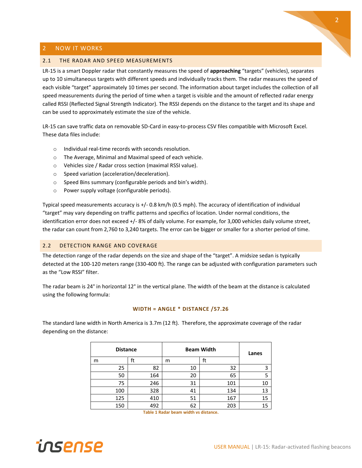#### <span id="page-2-0"></span>2 NOW IT WORKS

#### <span id="page-2-1"></span>2.1 THE RADAR AND SPEED MEASUREMENTS

LR-15 is a smart Doppler radar that constantly measures the speed of **approaching** "targets" (vehicles), separates up to 10 simultaneous targets with different speeds and individually tracks them. The radar measures the speed of each visible "target" approximately 10 times per second. The information about target includes the collection of all speed measurements during the period of time when a target is visible and the amount of reflected radar energy called RSSI (Reflected Signal Strength Indicator). The RSSI depends on the distance to the target and its shape and can be used to approximately estimate the size of the vehicle.

LR-15 can save traffic data on removable SD-Card in easy-to-process CSV files compatible with Microsoft Excel. These data files include:

- o Individual real-time records with seconds resolution.
- o The Average, Minimal and Maximal speed of each vehicle.
- o Vehicles size / Radar cross section (maximal RSSI value).
- o Speed variation (acceleration/deceleration).
- o Speed Bins summary (configurable periods and bin's width).
- o Power supply voltage (configurable periods).

Typical speed measurements accuracy is +/- 0.8 km/h (0.5 mph). The accuracy of identification of individual "target" may vary depending on traffic patterns and specifics of location. Under normal conditions, the identification error does not exceed +/- 8% of daily volume. For example, for 3,000 vehicles daily volume street, the radar can count from 2,760 to 3,240 targets. The error can be bigger or smaller for a shorter period of time.

#### <span id="page-2-2"></span>2.2 DETECTION RANGE AND COVERAGE

The detection range of the radar depends on the size and shape of the "target". A midsize sedan is typically detected at the 100-120 meters range (330-400 ft). The range can be adjusted with configuration parameters such as the "Low RSSI" filter.

The radar beam is 24° in horizontal 12° in the vertical plane. The width of the beam at the distance is calculated using the following formula:

#### **WIDTH = ANGLE \* DISTANCE /57.26**

The standard lane width in North America is 3.7m (12 ft). Therefore, the approximate coverage of the radar depending on the distance:

|   | <b>Distance</b> |     |   | <b>Beam Width</b> | Lanes |    |
|---|-----------------|-----|---|-------------------|-------|----|
| m |                 | ft  | m |                   | ft    |    |
|   | 25              | 82  |   | 10                | 32    | 3  |
|   | 50              | 164 |   | 20                | 65    |    |
|   | 75              | 246 |   | 31                | 101   | 10 |
|   | 100             | 328 |   | 41                | 134   | 13 |
|   | 125             | 410 |   | 51                | 167   | 15 |
|   | 150             | 492 |   | 62                | 203   | 15 |

**Table 1 Radar beam width vs distance.**

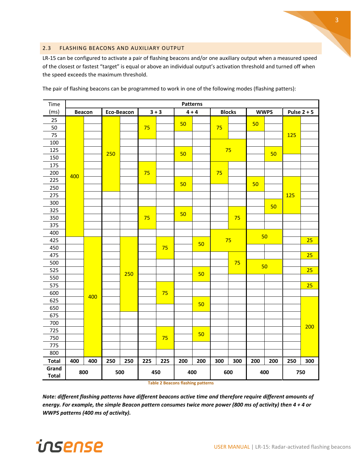#### <span id="page-3-0"></span>2.3 FLASHING BEACONS AND AUXILIARY OUTPUT

LR-15 can be configured to activate a pair of flashing beacons and/or one auxiliary output when a measured speed of the closest or fastest "target" is equal or above an individual output's activation threshold and turned off when the speed exceeds the maximum threshold.

| Time         |               |     | <b>Patterns</b> |                       |          |         |     |               |     |             |     |               |            |     |
|--------------|---------------|-----|-----------------|-----------------------|----------|---------|-----|---------------|-----|-------------|-----|---------------|------------|-----|
| (ms)         | <b>Beacon</b> |     |                 | Eco-Beacon<br>$3 + 3$ |          | $4 + 4$ |     | <b>Blocks</b> |     | <b>WWPS</b> |     | Pulse $2 + 5$ |            |     |
| 25           |               |     |                 |                       |          |         |     |               |     |             | 50  |               |            |     |
| 50           |               |     |                 |                       | 50<br>75 |         | 75  |               |     |             |     |               |            |     |
| 75           |               |     |                 |                       |          |         |     |               |     |             |     |               | <b>125</b> |     |
| 100          |               |     |                 |                       |          |         |     |               |     |             |     |               |            |     |
| 125          |               |     |                 |                       |          | 50      |     | 75            |     |             | 50  |               |            |     |
| 150          |               |     | 250             |                       |          |         |     |               |     |             |     |               |            |     |
| 175          |               |     |                 |                       |          |         |     |               |     |             |     |               |            |     |
| 200          | 400           |     |                 | 75                    |          | 50      |     | 75            |     |             |     |               |            |     |
| 225          |               |     |                 |                       |          |         |     |               |     | 50          |     |               |            |     |
| 250          |               |     |                 |                       |          |         |     |               |     |             |     |               |            |     |
| 275          |               |     |                 |                       |          |         |     |               |     |             |     |               | <b>125</b> |     |
| 300          |               |     |                 |                       |          |         |     |               |     |             |     | 50            |            |     |
| 325          |               |     |                 |                       |          |         | 50  |               |     |             |     |               |            |     |
| 350          |               |     |                 |                       | 75       |         |     |               |     | 75          |     |               |            |     |
| 375          |               |     |                 |                       |          |         |     |               |     |             |     |               |            |     |
| 400          |               |     |                 |                       |          |         |     |               |     |             | 50  |               |            |     |
| 425          |               |     |                 |                       |          |         |     | 50            |     | 75          |     |               |            | 25  |
| 450          |               |     |                 |                       |          | 75      |     |               |     |             |     |               |            |     |
| 475          |               |     |                 |                       |          |         |     |               |     |             |     |               |            | 25  |
| 500          |               |     |                 |                       |          |         |     |               |     | 75          | 50  |               |            |     |
| 525          |               |     |                 | 250                   |          |         |     | 50            |     |             |     |               |            | 25  |
| 550          |               |     |                 |                       |          |         |     |               |     |             |     |               |            |     |
| 575          |               |     |                 |                       |          |         |     |               |     |             |     |               |            | 25  |
| 600          |               | 400 |                 |                       |          | 75      |     |               |     |             |     |               |            |     |
| 625          |               |     |                 |                       |          |         |     | 50            |     |             |     |               |            |     |
| 650          |               |     |                 |                       |          |         |     |               |     |             |     |               |            |     |
| 675          |               |     |                 |                       |          |         |     |               |     |             |     |               |            |     |
| 700          |               |     |                 |                       |          |         |     |               |     |             |     |               |            | 200 |
| 725          |               |     |                 |                       |          |         |     | 50            |     |             |     |               |            |     |
| 750          |               |     |                 |                       |          | 75      |     |               |     |             |     |               |            |     |
| 775          |               |     |                 |                       |          |         |     |               |     |             |     |               |            |     |
| 800          |               |     |                 |                       |          |         |     |               |     |             |     |               |            |     |
| <b>Total</b> | 400           | 400 | 250             | 250                   | 225      | 225     | 200 | 200           | 300 | 300         | 200 | 200           | 250        | 300 |
| Grand        | 800           |     |                 |                       | 450      |         | 400 |               |     | 600         | 400 |               | 750        |     |
| <b>Total</b> |               |     | 500             |                       |          |         |     |               |     |             |     |               |            |     |

The pair of flashing beacons can be programmed to work in one of the following modes (flashing patters):

**Table 2 Beacons flashing patterns**

*Note: different flashing patterns have different beacons active time and therefore require different amounts of energy. For example, the simple Beacon pattern consumes twice more power (800 ms of activity) then 4 + 4 or WWPS patterns (400 ms of activity).*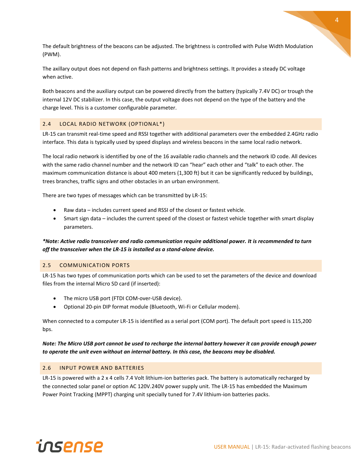The default brightness of the beacons can be adjusted. The brightness is controlled with Pulse Width Modulation (PWM).

The axillary output does not depend on flash patterns and brightness settings. It provides a steady DC voltage when active.

Both beacons and the auxiliary output can be powered directly from the battery (typically 7.4V DC) or trough the internal 12V DC stabilizer. In this case, the output voltage does not depend on the type of the battery and the charge level. This is a customer configurable parameter.

#### <span id="page-4-0"></span>2.4 LOCAL RADIO NETWORK (OPTIONAL\*)

LR-15 can transmit real-time speed and RSSI together with additional parameters over the embedded 2.4GHz radio interface. This data is typically used by speed displays and wireless beacons in the same local radio network.

The local radio network is identified by one of the 16 available radio channels and the network ID code. All devices with the same radio channel number and the network ID can "hear" each other and "talk" to each other. The maximum communication distance is about 400 meters (1,300 ft) but it can be significantly reduced by buildings, trees branches, traffic signs and other obstacles in an urban environment.

There are two types of messages which can be transmitted by LR-15:

- Raw data includes current speed and RSSI of the closest or fastest vehicle.
- Smart sign data includes the current speed of the closest or fastest vehicle together with smart display parameters.

*\*Note: Active radio transceiver and radio communication require additional power. It is recommended to turn off the transceiver when the LR-15 is installed as a stand-alone device.*

#### <span id="page-4-1"></span>2.5 COMMUNICATION PORTS

LR-15 has two types of communication ports which can be used to set the parameters of the device and download files from the internal Micro SD card (if inserted):

- The micro USB port (FTDI COM-over-USB device).
- Optional 20-pin DIP format module (Bluetooth, Wi-Fi or Cellular modem).

When connected to a computer LR-15 is identified as a serial port (COM port). The default port speed is 115,200 bps.

*Note: The Micro USB port cannot be used to recharge the internal battery however it can provide enough power to operate the unit even without an internal battery. In this case, the beacons may be disabled.*

#### <span id="page-4-2"></span>2.6 INPUT POWER AND BATTERIES

LR-15 is powered with a 2 x 4 cells 7.4 Volt lithium-ion batteries pack. The battery is automatically recharged by the connected solar panel or option AC 120V.240V power supply unit. The LR-15 has embedded the Maximum Power Point Tracking (MPPT) charging unit specially tuned for 7.4V lithium-ion batteries packs.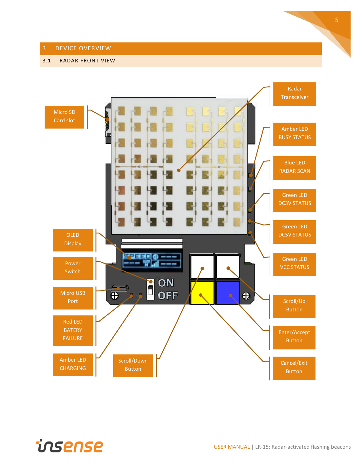#### <span id="page-5-0"></span>3 DEVICE OVERVIEW

#### <span id="page-5-1"></span>3.1 RADAR FRONT VIEW



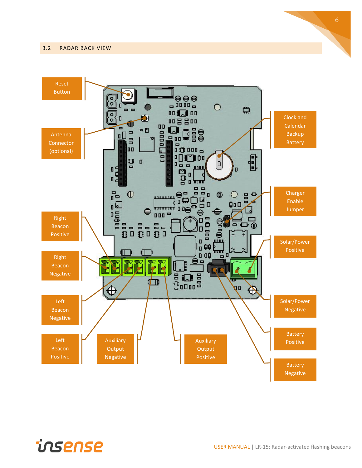#### <span id="page-6-0"></span>3.2 RADAR BACK VIEW



6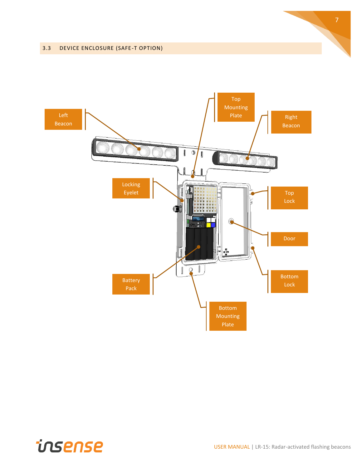#### <span id="page-7-0"></span>3.3 DEVICE ENCLOSURE (SAFE-T OPTION)



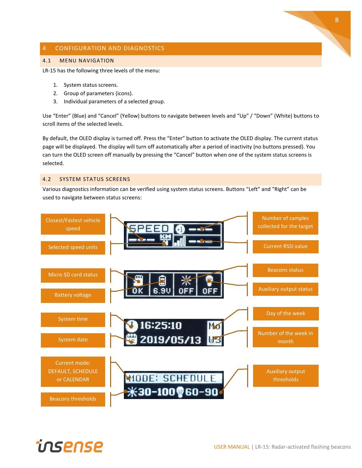#### <span id="page-8-0"></span>4 CONFIGURATION AND DIAGNOSTICS

#### <span id="page-8-1"></span>4.1 MENU NAVIGATION

LR-15 has the following three levels of the menu:

- 1. System status screens.
- 2. Group of parameters (icons).
- 3. Individual parameters of a selected group.

Use "Enter" (Blue) and "Cancel" (Yellow) buttons to navigate between levels and "Up" / "Down" (White) buttons to scroll items of the selected levels.

By default, the OLED display is turned off. Press the "Enter" button to activate the OLED display. The current status page will be displayed. The display will turn off automatically after a period of inactivity (no buttons pressed). You can turn the OLED screen off manually by pressing the "Cancel" button when one of the system status screens is selected.

#### <span id="page-8-2"></span>4.2 SYSTEM STATUS SCREENS

Various diagnostics information can be verified using system status screens. Buttons "Left" and "Right" can be used to navigate between status screens:

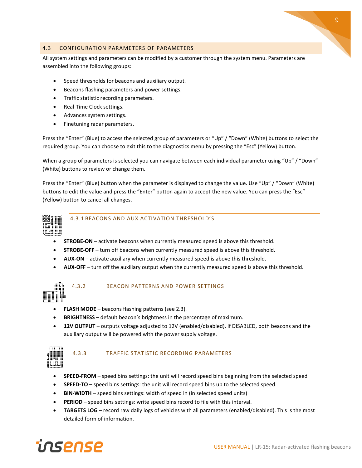

#### <span id="page-9-0"></span>4.3 CONFIGURATION PARAMETERS OF PARAMETERS

All system settings and parameters can be modified by a customer through the system menu. Parameters are assembled into the following groups:

- Speed thresholds for beacons and auxiliary output.
- Beacons flashing parameters and power settings.
- Traffic statistic recording parameters.
- Real-Time Clock settings.
- Advances system settings.
- Finetuning radar parameters.

Press the "Enter" (Blue) to access the selected group of parameters or "Up" / "Down" (White) buttons to select the required group. You can choose to exit this to the diagnostics menu by pressing the "Esc" (Yellow) button.

When a group of parameters is selected you can navigate between each individual parameter using "Up" / "Down" (White) buttons to review or change them.

Press the "Enter" (Blue) button when the parameter is displayed to change the value. Use "Up" / "Down" (White) buttons to edit the value and press the "Enter" button again to accept the new value. You can press the "Esc" (Yellow) button to cancel all changes.



#### <span id="page-9-1"></span>4.3.1 BEACONS AND AUX ACTIVATION THRESHOLD'S

- **STROBE-ON** activate beacons when currently measured speed is above this threshold.
- **STROBE-OFF** turn off beacons when currently measured speed is above this threshold.
- **AUX-ON** activate auxiliary when currently measured speed is above this threshold.
- **AUX-OFF** turn off the auxiliary output when the currently measured speed is above this threshold.



#### <span id="page-9-2"></span>4.3.2 BEACON PATTERNS AND POWER SETTINGS

- **FLASH MODE** beacons flashing patterns (see [2.3\)](#page-3-0).
- **BRIGHTNESS** default beacon's brightness in the percentage of maximum.
- **12V OUTPUT** outputs voltage adjusted to 12V (enabled/disabled). If DISABLED, both beacons and the auxiliary output will be powered with the power supply voltage.



#### <span id="page-9-3"></span>4.3.3 TRAFFIC STATISTIC RECORDING PARAMETERS

- **SPEED-FROM** speed bins settings: the unit will record speed bins beginning from the selected speed
- **SPEED-TO** speed bins settings: the unit will record speed bins up to the selected speed.
- **BIN-WIDTH** speed bins settings: width of speed in (in selected speed units)
- **PERIOD** speed bins settings: write speed bins record to file with this interval.
- **TARGETS LOG** record raw daily logs of vehicles with all parameters (enabled/disabled). This is the most detailed form of information.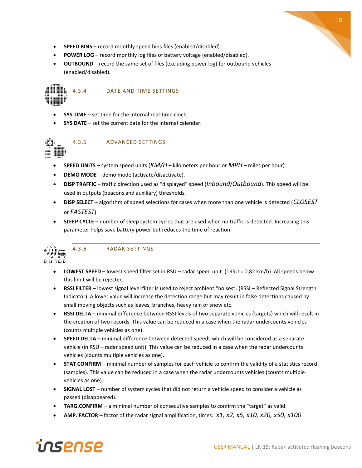- **SPEED BINS** record monthly speed bins files (enabled/disabled).
- **POWER LOG** record monthly log files of battery voltage (enabled/disabled).
- **OUTBOUND** record the same set of files (excluding power log) for outbound vehicles (enabled/disabled).



#### <span id="page-10-0"></span>4.3.4 DATE AND TIME SETTINGS

- **SYS TIME** set time for the internal real-time clock.
- <span id="page-10-1"></span>• **SYS DATE** – set the current date for the internal calendar.



- **SPEED UNITS** system speed units (*KM/H* kilometers per hour or *MPH* miles per hour).
- **DEMO MODE** demo mode (activate/disactivate).
- **DISP TRAFFIC** traffic direction used as "displayed" speed (*Inbound*/*Outbound*). This speed will be used in outputs (beacons and auxiliary) thresholds.
- **DISP SELECT** algorithm of speed selections for cases when more than one vehicle is detected (*CLOSEST* or *FASTEST*)
- **SLEEP CYCLE** number of sleep system cycles that are used when no traffic is detected. Increasing this parameter helps save battery power but reduces the time of reaction.



#### <span id="page-10-2"></span>4.3.6 RADAR SETTINGS

- **LOWEST SPEED** lowest speed filter set in RSU radar speed unit. (1RSU = 0,82 km/h). All speeds below this limit will be rejected.
- **RSSI FILTER** lowest signal level filter is used to reject ambient "noises". (RSSI Reflected Signal Strength Indicator). A lower value will increase the detection range but may result in false detections caused by small moving objects such as leaves, branches, heavy rain or snow etc.
- **RSSI DELTA** minimal difference between RSSI levels of two separate vehicles (targets) which will result in the creation of two records. This value can be reduced in a case when the radar undercounts vehicles (counts multiple vehicles as one).
- **SPEED DELTA** minimal difference between detected speeds which will be considered as a separate vehicle (in RSU – radar speed unit). This value can be reduced in a case when the radar undercounts vehicles (counts multiple vehicles as one).
- **STAT CONFIRM** minimal number of samples for each vehicle to confirm the validity of a statistics record (samples). This value can be reduced in a case when the radar undercounts vehicles (counts multiple vehicles as one).
- **SIGNAL LOST** number of system cycles that did not return a vehicle speed to consider a vehicle as passed (disappeared).
- **TARG.CONFIRM** a minimal number of consecutive samples to confirm the "target" as valid.
- **AMP. FACTOR** factor of the radar signal amplification, times: *x1, x2, x5, x10, x20, x50, x100*.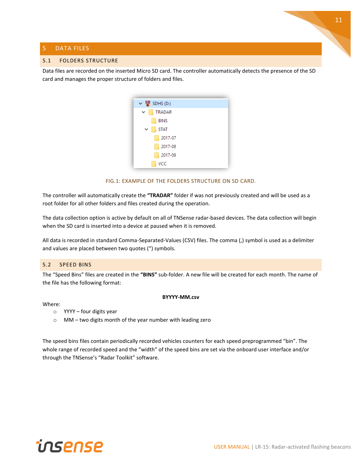#### <span id="page-11-0"></span>5 DATA FILES

#### <span id="page-11-1"></span>5.1 FOLDERS STRUCTURE

Data files are recorded on the inserted Micro SD card. The controller automatically detects the presence of the SD card and manages the proper structure of folders and files.

| $\vee$ SD <sub>4</sub> SDHS (D:) |  |
|----------------------------------|--|
| TRADAR<br>$\checkmark$           |  |
| <b>BINS</b>                      |  |
| <b>STAT</b><br>$\checkmark$      |  |
| 2017-07                          |  |
| 2017-08                          |  |
| 2017-09                          |  |
| <b>VCC</b>                       |  |

FIG.1: EXAMPLE OF THE FOLDERS STRUCTURE ON SD CARD.

The controller will automatically create the **"TRADAR"** folder if was not previously created and will be used as a root folder for all other folders and files created during the operation.

The data collection option is active by default on all of TNSense radar-based devices. The data collection will begin when the SD card is inserted into a device at paused when it is removed.

All data is recorded in standard Comma-Separated-Values (CSV) files. The comma (,) symbol is used as a delimiter and values are placed between two quotes (") symbols.

#### <span id="page-11-2"></span>5.2 SPEED BINS

The "Speed Bins" files are created in the **"BINS"** sub-folder. A new file will be created for each month. The name of the file has the following format:

#### Where:

- **BYYYY-MM.csv**
- $\circ$  YYYY four digits year
- o MM two digits month of the year number with leading zero

The speed bins files contain periodically recorded vehicles counters for each speed preprogrammed "bin". The whole range of recorded speed and the "width" of the speed bins are set via the onboard user interface and/or through the TNSense's "Radar Toolkit" software.



11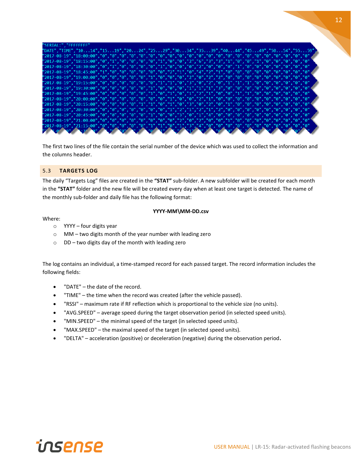| "SERIAL:", "FFFFFFFF"                                                                                                                                                                                                                                                                                                                       |
|---------------------------------------------------------------------------------------------------------------------------------------------------------------------------------------------------------------------------------------------------------------------------------------------------------------------------------------------|
|                                                                                                                                                                                                                                                                                                                                             |
| ,"DATE","TIME","1014","1519","2024","2529","3034","3539","4044","4549","5054","5559",                                                                                                                                                                                                                                                       |
|                                                                                                                                                                                                                                                                                                                                             |
| "2017-08-19" , "18:15:00" , "0" , "1" , "0" , "0" , "0" , "0" , "1" , "0" , "0" , "0" , "0" , "3" , "3" , "3" , "0" , "0" , "0" , "0" , "0" , "0" , "0" , "0" , "0" , "0" , "0" , "0" , "0                                                                                                                                                  |
| "2017-08-19" , "18:30:00" , "0" , "1" , "0" , "0" , "0" , "0" , "1" , "0" , "0" , "0" , "0" , "0" , "0" , "0" , "0" , "0" , "0" , "0" , "0" , "0" , "0" ,                                                                                                                                                                                   |
|                                                                                                                                                                                                                                                                                                                                             |
|                                                                                                                                                                                                                                                                                                                                             |
| "2017-08-19" , "19:15:00" , "0" , "0" , "0" , "0" , "0" , "0" , "1" , "1" , "0" , "3" , "0" , "2" , "0" , "1" , "1" , "1" , "0" , "0" , "0" , "0" , "0" , "0" , "0"                                                                                                                                                                         |
|                                                                                                                                                                                                                                                                                                                                             |
| "2017-08-19" , "19:45:00" , "0" , "0" , "0" , "0" , "0" , "1" , "0" , "1" , "0" , "1" , "2" , "1" , "0" , "0" , "0" , "1" , "0" , "0" , "0" , "0" , "0" , "0" , "0" , "0" ,                                                                                                                                                                 |
|                                                                                                                                                                                                                                                                                                                                             |
|                                                                                                                                                                                                                                                                                                                                             |
| "2017-08-19" , "20:30:00" , "0" , "0" , "0" , "0" , "0" , "0" , "1" , "2" , "1" , "2" , "1" , "2" , "0" , "0" , "0" , "0" , "0" , "0" , "0" , "0" , "0" ,                                                                                                                                                                                   |
|                                                                                                                                                                                                                                                                                                                                             |
| "2017-08-19" , "21:00:00" , "0" , "0" , "0" , "0" , "0" , "0" , "0" , "2" , "0" , "2" , "0" , "0" , "0" , "0" , "0" , "0" , "0" , "0" , "0" , "0" , "0" ,                                                                                                                                                                                   |
|                                                                                                                                                                                                                                                                                                                                             |
| $\int_{0}^{1/2} \int_{0}^{1/2} \int_{0}^{1/2} \int_{0}^{1/2} \int_{0}^{1/2} \int_{0}^{1/2} \int_{0}^{1/2} \int_{0}^{1/2} \int_{0}^{1/2} \int_{0}^{1/2} \int_{0}^{1/2} \int_{0}^{1/2} \int_{0}^{1/2} \int_{0}^{1/2} \int_{0}^{1/2} \int_{0}^{1/2} \int_{0}^{1/2} \int_{0}^{1/2} \int_{0}^{1/2} \int_{0}^{1/2} \int_{0}^{1/2} \int_{0}^{1/2}$ |

The first two lines of the file contain the serial number of the device which was used to collect the information and the columns header.

#### <span id="page-12-0"></span>5.3 **TARGETS LOG**

The daily "Targets Log" files are created in the **"STAT"** sub-folder. A new subfolder will be created for each month in the **"STAT"** folder and the new file will be created every day when at least one target is detected. The name of the monthly sub-folder and daily file has the following format:

#### Where:

#### **YYYY-MM\MM-DD.csv**

- $\circ$  YYYY four digits year
- o MM two digits month of the year number with leading zero
- o DD two digits day of the month with leading zero

The log contains an individual, a time-stamped record for each passed target. The record information includes the following fields:

- "DATE" the date of the record.
- "TIME" the time when the record was created (after the vehicle passed).
- "RSSI" maximum rate if RF reflection which is proportional to the vehicle size (no units).
- "AVG.SPEED" average speed during the target observation period (in selected speed units).
- "MIN.SPEED" the minimal speed of the target (in selected speed units).
- "MAX.SPEED" the maximal speed of the target (in selected speed units).
- "DELTA" acceleration (positive) or deceleration (negative) during the observation period**.**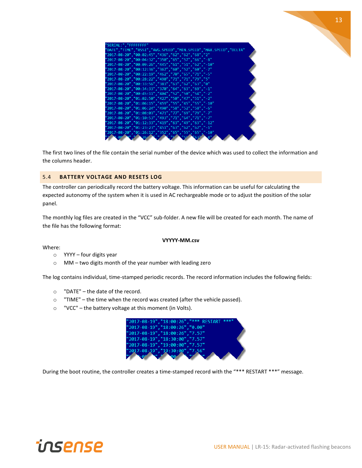| "SERIAL:"."FFFFFFFF" |                                                                  |
|----------------------|------------------------------------------------------------------|
|                      | "DATE","TIME","RSSI","AVG.SPEED","MIN.SPEED","MAX.SPEED","DELTA" |
|                      | "2017-08-20","00:02:45","436","62","62","68","2"                 |
|                      | "2017-08-20","00:04:32","350","65","57","66","-8"                |
|                      | "2017-08-20","00:09:26","445","61","51","62","-10"               |
|                      | "2017-08-20","00:12:36","367","60","52","60","-7"                |
|                      | "2017-08-20","00:22:19","462","70","65","71","-5"                |
|                      | "2017-08-20","00:28:22","490","71","71","79","5"                 |
|                      | "2017-08-20","00:33:56","383","63","62","63","0"                 |
|                      | "2017-08-20","00:34:33","370","64","63","69","-1"                |
|                      | "2017-08-20","00:45:11","404","52","50","54","-2"                |
|                      | "2017-08-20","01:02:50","427","50","47","51","-2"                |
|                      | "2017-08-20","01:06:15","459","55","45","55","-10"               |
|                      | "2017-08-20","01:06:24","490","58","52","58","-6"                |
|                      | "2017-08-20","01:08:03","471","77","69","79","-7"                |
|                      | "2017-08-20","01:10:53","493","71","64","71","-7"                |
|                      | "2017-08-20","01:12:33","419","63","49","63","-12"               |
|                      | "2017-08-20","01:23:23","451","63","62","67","-1"                |
|                      |                                                                  |
|                      | "2017-08-20", "01:26:12", "352", "65", "55", "65", "-10"         |

The first two lines of the file contain the serial number of the device which was used to collect the information and the columns header.

#### <span id="page-13-0"></span>5.4 **BATTERY VOLTAGE AND RESETS LOG**

The controller can periodically record the battery voltage. This information can be useful for calculating the expected autonomy of the system when it is used in AC rechargeable mode or to adjust the position of the solar panel.

The monthly log files are created in the "VCC" sub-folder. A new file will be created for each month. The name of the file has the following format:

#### **VYYYY-MM.csv**

Where:

- o YYYY four digits year
- o MM two digits month of the year number with leading zero

The log contains individual, time-stamped periodic records. The record information includes the following fields:

- o "DATE" the date of the record.
- $\circ$  "TIME" the time when the record was created (after the vehicle passed).
- o "VCC" the battery voltage at this moment (in Volts).



During the boot routine, the controller creates a time-stamped record with the "\*\*\* RESTART \*\*\*" message.